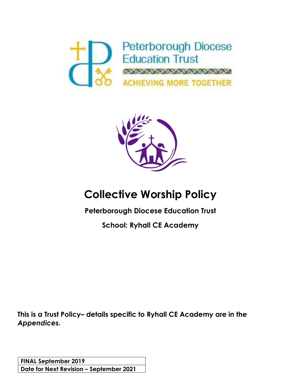



# **Collective Worship Policy**

**Peterborough Diocese Education Trust**

**School: Ryhall CE Academy**

**This is a Trust Policy– details specific to Ryhall CE Academy are in the**  *Appendices.*

**FINAL September 2019 Date for Next Revision – September 2021**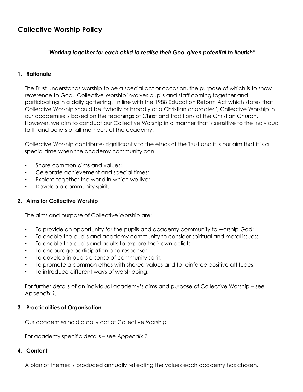# **Collective Worship Policy**

### *"Working together for each child to realise their God-given potential to flourish"*

### **1. Rationale**

The Trust understands worship to be a special act or occasion, the purpose of which is to show reverence to God. Collective Worship involves pupils and staff coming together and participating in a daily gathering. In line with the 1988 Education Reform Act which states that Collective Worship should be "wholly or broadly of a Christian character", Collective Worship in our academies is based on the teachings of Christ and traditions of the Christian Church. However, we aim to conduct our Collective Worship in a manner that is sensitive to the individual faith and beliefs of all members of the academy.

Collective Worship contributes significantly to the ethos of the Trust and it is our aim that it is a special time when the academy community can:

- Share common aims and values;
- Celebrate achievement and special times;
- Explore together the world in which we live;
- Develop a community spirit.

### **2. Aims for Collective Worship**

The aims and purpose of Collective Worship are:

- To provide an opportunity for the pupils and academy community to worship God;
- To enable the pupils and academy community to consider spiritual and moral issues;
- To enable the pupils and adults to explore their own beliefs;
- To encourage participation and response;
- To develop in pupils a sense of community spirit;
- To promote a common ethos with shared values and to reinforce positive attitudes;
- To introduce different ways of worshipping.

For further details of an individual academy's aims and purpose of Collective Worship – see *Appendix 1.*

### **3. Practicalities of Organisation**

Our academies hold a daily act of Collective Worship.

For academy specific details – see *Appendix 1.*

### **4. Content**

A plan of themes is produced annually reflecting the values each academy has chosen.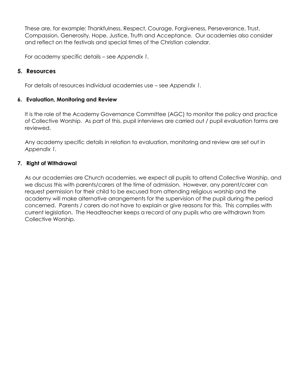These are, for example: Thankfulness, Respect, Courage, Forgiveness, Perseverance, Trust, Compassion, Generosity, Hope, Justice, Truth and Acceptance. Our academies also consider and reflect on the festivals and special times of the Christian calendar.

For academy specific details – see *Appendix 1.* 

# **5. Resources**

For details of resources individual academies use – see *Appendix 1.* 

### **6. Evaluation, Monitoring and Review**

It is the role of the Academy Governance Committee (AGC) to monitor the policy and practice of Collective Worship. As part of this, pupil interviews are carried out / pupil evaluation forms are reviewed.

Any academy specific details in relation to evaluation, monitoring and review are set out in *Appendix 1.* 

### **7. Right of Withdrawal**

As our academies are Church academies, we expect all pupils to attend Collective Worship, and we discuss this with parents/carers at the time of admission. However, any parent/carer can request permission for their child to be excused from attending religious worship and the academy will make alternative arrangements for the supervision of the pupil during the period concerned. Parents / carers do not have to explain or give reasons for this. This complies with current legislation. The Headteacher keeps a record of any pupils who are withdrawn from Collective Worship.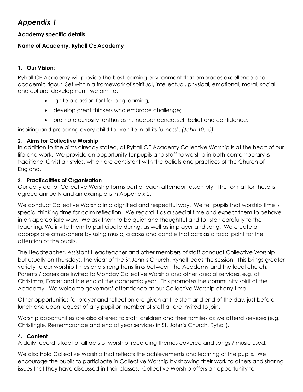# *Appendix 1*

# **Academy specific details**

# **Name of Academy: Ryhall CE Academy**

# **1. Our Vision:**

Ryhall CE Academy will provide the best learning environment that embraces excellence and academic rigour. Set within a framework of spiritual, intellectual, physical, emotional, moral, social and cultural development, we aim to:

- ignite a passion for life-long learning;
- develop great thinkers who embrace challenge;
- promote curiosity, enthusiasm, independence, self-belief and confidence.

inspiring and preparing every child to live 'life in all its fullness'. *(John 10:10)*

### **2. Aims for Collective Worship**

In addition to the aims already stated, at Ryhall CE Academy Collective Worship is at the heart of our life and work. We provide an opportunity for pupils and staff to worship in both contemporary & traditional Christian styles, which are consistent with the beliefs and practices of the Church of England.

### **3. Practicalities of Organisation**

Our daily act of Collective Worship forms part of each afternoon assembly. The format for these is agreed annually and an example is in Appendix 2.

We conduct Collective Worship in a dignified and respectful way. We tell pupils that worship time is special thinking time for calm reflection. We regard it as a special time and expect them to behave in an appropriate way. We ask them to be quiet and thoughtful and to listen carefully to the teaching. We invite them to participate during, as well as in prayer and song. We create an appropriate atmosphere by using music, a cross and candle that acts as a focal point for the attention of the pupils.

The Headteacher, Assistant Headteacher and other members of staff conduct Collective Worship but usually on Thursdays, the vicar of the St.John's Church, Ryhall leads the session. This brings greater variety to our worship times and strengthens links between the Academy and the local church. Parents / carers are invited to Monday Collective Worship and other special services, e.g. at Christmas, Easter and the end of the academic year. This promotes the community spirit of the Academy. We welcome governors' attendance at our Collective Worship at any time.

Other opportunities for prayer and reflection are given at the start and end of the day, just before lunch and upon request of any pupil or member of staff all are invited to join.

Worship opportunities are also offered to staff, children and their families as we attend services (e.g. Christingle, Remembrance and end of year services in St. John's Church, Ryhall).

### **4. Content**

A daily record is kept of all acts of worship, recording themes covered and songs / music used.

We also hold Collective Worship that reflects the achievements and learning of the pupils. We encourage the pupils to participate in Collective Worship by showing their work to others and sharing issues that they have discussed in their classes. Collective Worship offers an opportunity to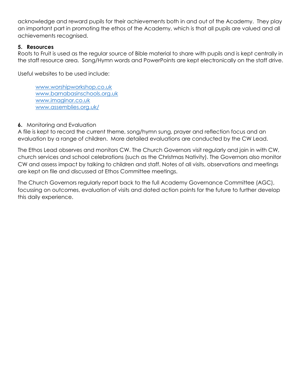acknowledge and reward pupils for their achievements both in and out of the Academy. They play an important part in promoting the ethos of the Academy, which is that all pupils are valued and all achievements recognised.

### **5. Resources**

Roots to Fruit is used as the regular source of Bible material to share with pupils and is kept centrally in the staff resource area. Song/Hymn words and PowerPoints are kept electronically on the staff drive.

Useful websites to be used include:

[www.worshipworkshop.co.uk](http://www.worshipworkshop.co.uk/) [www.barnabasinschools.org.uk](http://www.barnabasinschools.org.uk/) [www.imaginor.co.uk](http://www.imaginor.co.uk/) [www.assemblies.org.uk/](http://www.assemblies.org.uk/)

# **6.** Monitoring and Evaluation

A file is kept to record the current theme, song/hymn sung, prayer and reflection focus and an evaluation by a range of children. More detailed evaluations are conducted by the CW Lead.

The Ethos Lead observes and monitors CW. The Church Governors visit regularly and join in with CW, church services and school celebrations (such as the Christmas Nativity). The Governors also monitor CW and assess impact by talking to children and staff. Notes of all visits, observations and meetings are kept on file and discussed at Ethos Committee meetings.

The Church Governors regularly report back to the full Academy Governance Committee (AGC), focussing on outcomes, evaluation of visits and dated action points for the future to further develop this daily experience.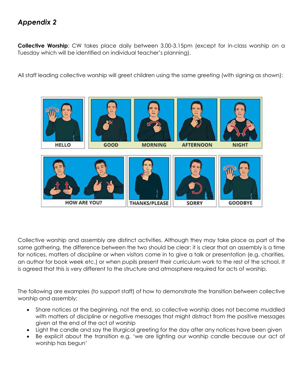# *Appendix 2*

**Collective Worship**: CW takes place daily between 3.00-3.15pm (except for in-class worship on a Tuesday which will be identified on individual teacher's planning).

All staff leading collective worship will greet children using the same greeting (with signing as shown):



Collective worship and assembly are distinct activities. Although they may take place as part of the same gathering, the difference between the two should be clear: it is clear that an assembly is a time for notices, matters of discipline or when visitors come in to give a talk or presentation (e.g. charities, an author for book week etc.) or when pupils present their curriculum work to the rest of the school. It is agreed that this is very different to the structure and atmosphere required for acts of worship.

The following are examples (to support staff) of how to demonstrate the transition between collective worship and assembly:

- Share notices at the beginning, not the end, so collective worship does not become muddled with matters of discipline or negative messages that might distract from the positive messages given at the end of the act of worship
- Light the candle and say the liturgical greeting for the day after any notices have been given
- Be explicit about the transition e.g. 'we are lighting our worship candle because our act of worship has begun'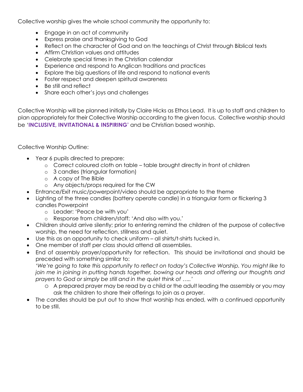Collective worship gives the whole school community the opportunity to:

- Engage in an act of community
- Express praise and thanksgiving to God
- Reflect on the character of God and on the teachings of Christ through Biblical texts
- Affirm Christian values and attitudes
- Celebrate special times in the Christian calendar
- Experience and respond to Anglican traditions and practices
- Explore the big questions of life and respond to national events
- Foster respect and deepen spiritual awareness
- Be still and reflect
- Share each other's joys and challenges

Collective Worship will be planned initially by Claire Hicks as Ethos Lead. It is up to staff and children to plan appropriately for their Collective Worship according to the given focus. Collective worship should be '**INCLUSIVE, INVITATIONAL & INSPIRING'** and be Christian based worship.

Collective Worship Outline:

- Year 6 pupils directed to prepare:
	- o Correct coloured cloth on table table brought directly in front of children
	- o 3 candles (triangular formation)
	- o A copy of The Bible
	- o Any objects/props required for the CW
- Entrance/Exit music/powerpoint/video should be appropriate to the theme
- Lighting of the three candles (battery operate candle) in a triangular form or flickering 3 candles Powerpoint
	- o Leader: 'Peace be with you'
	- o Response from children/staff: 'And also with you.'
- Children should arrive silently; prior to entering remind the children of the purpose of collective worship, the need for reflection, stillness and quiet.
- Use this as an opportunity to check uniform all shirts/t-shirts tucked in.
- One member of staff per class should attend all assemblies.
- End of assembly prayer/opportunity for reflection. This should be invitational and should be preceded with something similar to:

*'We're going to take this opportunity to reflect on today's Collective Worship. You might like to join me in joining in putting hands together, bowing our heads and offering our thoughts and prayers to God or simply be still and in the quiet think of …..'*

- o A prepared prayer may be read by a child or the adult leading the assembly or you may ask the children to share their offerings to join as a prayer.
- The candles should be put out to show that worship has ended, with a continued opportunity to be still.